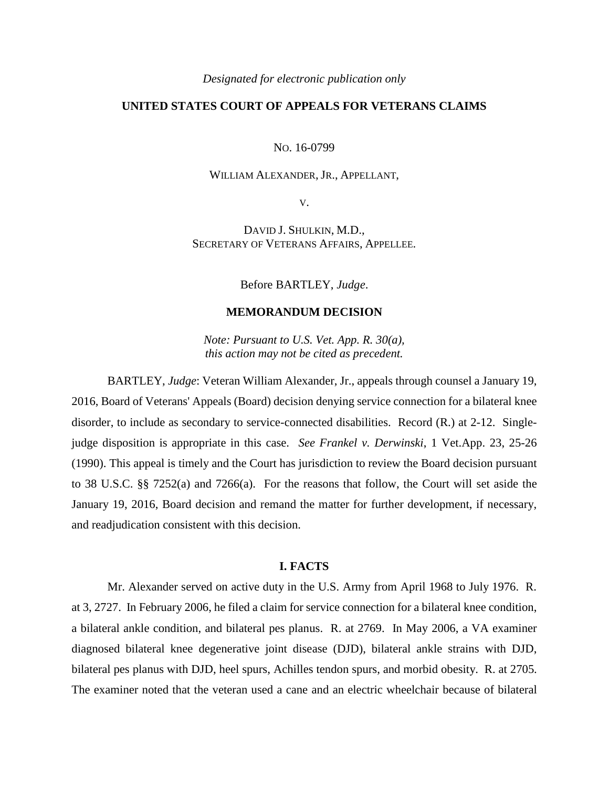#### *Designated for electronic publication only*

# **UNITED STATES COURT OF APPEALS FOR VETERANS CLAIMS**

NO. 16-0799

## WILLIAM ALEXANDER, JR., APPELLANT,

V.

DAVID J. SHULKIN, M.D., SECRETARY OF VETERANS AFFAIRS, APPELLEE.

Before BARTLEY, *Judge*.

## **MEMORANDUM DECISION**

*Note: Pursuant to U.S. Vet. App. R. 30(a), this action may not be cited as precedent.*

BARTLEY, *Judge*: Veteran William Alexander, Jr., appeals through counsel a January 19, 2016, Board of Veterans' Appeals (Board) decision denying service connection for a bilateral knee disorder, to include as secondary to service-connected disabilities. Record (R.) at 2-12. Singlejudge disposition is appropriate in this case. *See Frankel v. Derwinski*, 1 Vet.App. 23, 25-26 (1990). This appeal is timely and the Court has jurisdiction to review the Board decision pursuant to 38 U.S.C. §§ 7252(a) and 7266(a). For the reasons that follow, the Court will set aside the January 19, 2016, Board decision and remand the matter for further development, if necessary, and readjudication consistent with this decision.

#### **I. FACTS**

Mr. Alexander served on active duty in the U.S. Army from April 1968 to July 1976. R. at 3, 2727. In February 2006, he filed a claim for service connection for a bilateral knee condition, a bilateral ankle condition, and bilateral pes planus. R. at 2769. In May 2006, a VA examiner diagnosed bilateral knee degenerative joint disease (DJD), bilateral ankle strains with DJD, bilateral pes planus with DJD, heel spurs, Achilles tendon spurs, and morbid obesity. R. at 2705. The examiner noted that the veteran used a cane and an electric wheelchair because of bilateral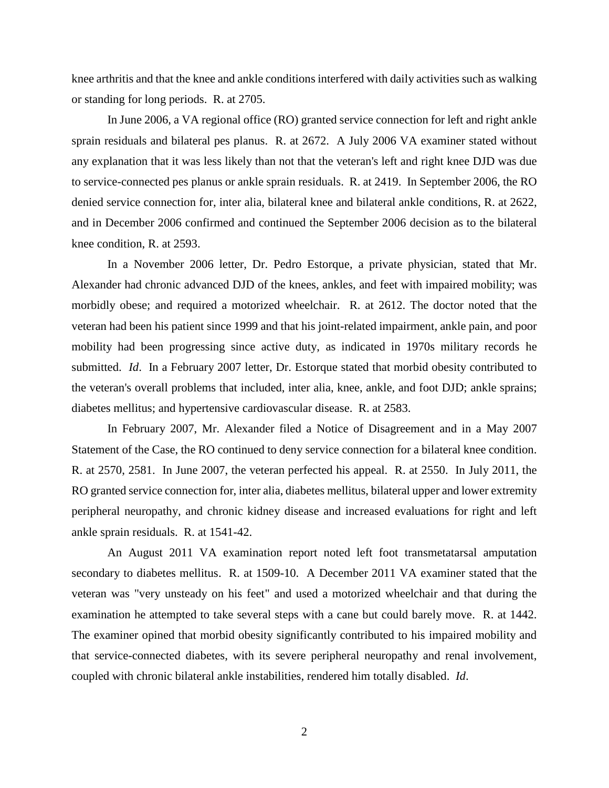knee arthritis and that the knee and ankle conditions interfered with daily activities such as walking or standing for long periods. R. at 2705.

In June 2006, a VA regional office (RO) granted service connection for left and right ankle sprain residuals and bilateral pes planus. R. at 2672. A July 2006 VA examiner stated without any explanation that it was less likely than not that the veteran's left and right knee DJD was due to service-connected pes planus or ankle sprain residuals. R. at 2419. In September 2006, the RO denied service connection for, inter alia, bilateral knee and bilateral ankle conditions, R. at 2622, and in December 2006 confirmed and continued the September 2006 decision as to the bilateral knee condition, R. at 2593.

In a November 2006 letter, Dr. Pedro Estorque, a private physician, stated that Mr. Alexander had chronic advanced DJD of the knees, ankles, and feet with impaired mobility; was morbidly obese; and required a motorized wheelchair. R. at 2612. The doctor noted that the veteran had been his patient since 1999 and that his joint-related impairment, ankle pain, and poor mobility had been progressing since active duty, as indicated in 1970s military records he submitted. *Id*. In a February 2007 letter, Dr. Estorque stated that morbid obesity contributed to the veteran's overall problems that included, inter alia, knee, ankle, and foot DJD; ankle sprains; diabetes mellitus; and hypertensive cardiovascular disease. R. at 2583.

In February 2007, Mr. Alexander filed a Notice of Disagreement and in a May 2007 Statement of the Case, the RO continued to deny service connection for a bilateral knee condition. R. at 2570, 2581. In June 2007, the veteran perfected his appeal. R. at 2550. In July 2011, the RO granted service connection for, inter alia, diabetes mellitus, bilateral upper and lower extremity peripheral neuropathy, and chronic kidney disease and increased evaluations for right and left ankle sprain residuals. R. at 1541-42.

An August 2011 VA examination report noted left foot transmetatarsal amputation secondary to diabetes mellitus. R. at 1509-10. A December 2011 VA examiner stated that the veteran was "very unsteady on his feet" and used a motorized wheelchair and that during the examination he attempted to take several steps with a cane but could barely move. R. at 1442. The examiner opined that morbid obesity significantly contributed to his impaired mobility and that service-connected diabetes, with its severe peripheral neuropathy and renal involvement, coupled with chronic bilateral ankle instabilities, rendered him totally disabled. *Id*.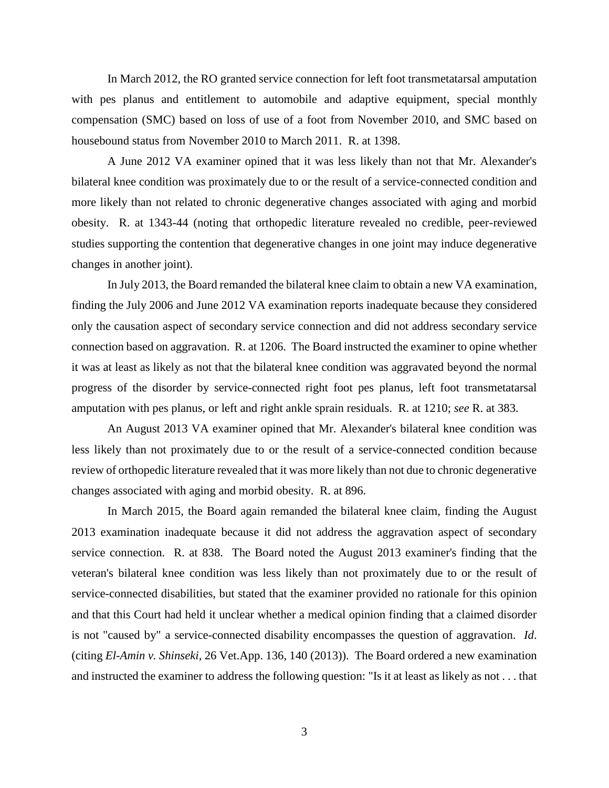In March 2012, the RO granted service connection for left foot transmetatarsal amputation with pes planus and entitlement to automobile and adaptive equipment, special monthly compensation (SMC) based on loss of use of a foot from November 2010, and SMC based on housebound status from November 2010 to March 2011. R. at 1398.

A June 2012 VA examiner opined that it was less likely than not that Mr. Alexander's bilateral knee condition was proximately due to or the result of a service-connected condition and more likely than not related to chronic degenerative changes associated with aging and morbid obesity. R. at 1343-44 (noting that orthopedic literature revealed no credible, peer-reviewed studies supporting the contention that degenerative changes in one joint may induce degenerative changes in another joint).

In July 2013, the Board remanded the bilateral knee claim to obtain a new VA examination, finding the July 2006 and June 2012 VA examination reports inadequate because they considered only the causation aspect of secondary service connection and did not address secondary service connection based on aggravation. R. at 1206. The Board instructed the examiner to opine whether it was at least as likely as not that the bilateral knee condition was aggravated beyond the normal progress of the disorder by service-connected right foot pes planus, left foot transmetatarsal amputation with pes planus, or left and right ankle sprain residuals. R. at 1210; *see* R. at 383.

An August 2013 VA examiner opined that Mr. Alexander's bilateral knee condition was less likely than not proximately due to or the result of a service-connected condition because review of orthopedic literature revealed that it was more likely than not due to chronic degenerative changes associated with aging and morbid obesity. R. at 896.

In March 2015, the Board again remanded the bilateral knee claim, finding the August 2013 examination inadequate because it did not address the aggravation aspect of secondary service connection. R. at 838. The Board noted the August 2013 examiner's finding that the veteran's bilateral knee condition was less likely than not proximately due to or the result of service-connected disabilities, but stated that the examiner provided no rationale for this opinion and that this Court had held it unclear whether a medical opinion finding that a claimed disorder is not "caused by" a service-connected disability encompasses the question of aggravation. *Id*. (citing *El-Amin v. Shinseki,* 26 Vet.App. 136, 140 (2013)). The Board ordered a new examination and instructed the examiner to address the following question: "Is it at least as likely as not . . . that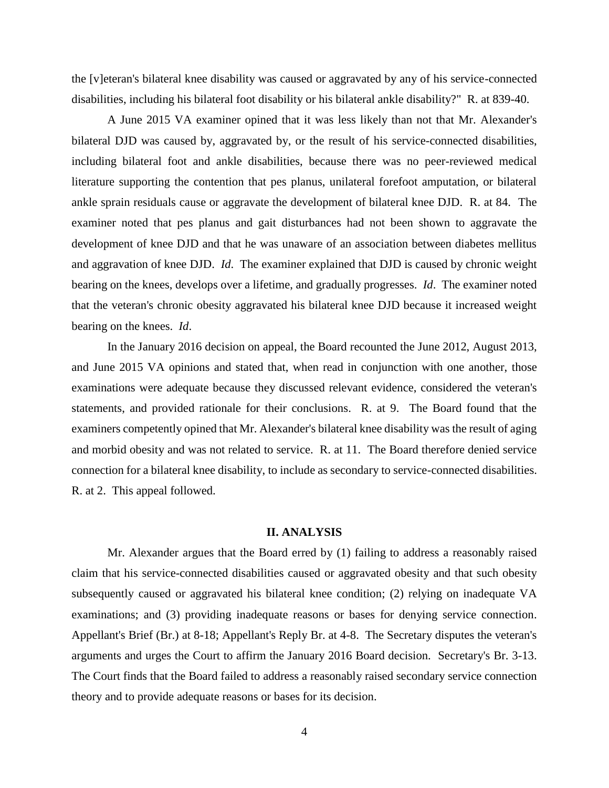the [v]eteran's bilateral knee disability was caused or aggravated by any of his service-connected disabilities, including his bilateral foot disability or his bilateral ankle disability?" R. at 839-40.

A June 2015 VA examiner opined that it was less likely than not that Mr. Alexander's bilateral DJD was caused by, aggravated by, or the result of his service-connected disabilities, including bilateral foot and ankle disabilities, because there was no peer-reviewed medical literature supporting the contention that pes planus, unilateral forefoot amputation, or bilateral ankle sprain residuals cause or aggravate the development of bilateral knee DJD. R. at 84. The examiner noted that pes planus and gait disturbances had not been shown to aggravate the development of knee DJD and that he was unaware of an association between diabetes mellitus and aggravation of knee DJD. *Id*. The examiner explained that DJD is caused by chronic weight bearing on the knees, develops over a lifetime, and gradually progresses. *Id*. The examiner noted that the veteran's chronic obesity aggravated his bilateral knee DJD because it increased weight bearing on the knees. *Id*.

In the January 2016 decision on appeal, the Board recounted the June 2012, August 2013, and June 2015 VA opinions and stated that, when read in conjunction with one another, those examinations were adequate because they discussed relevant evidence, considered the veteran's statements, and provided rationale for their conclusions. R. at 9. The Board found that the examiners competently opined that Mr. Alexander's bilateral knee disability was the result of aging and morbid obesity and was not related to service. R. at 11. The Board therefore denied service connection for a bilateral knee disability, to include as secondary to service-connected disabilities. R. at 2. This appeal followed.

## **II. ANALYSIS**

Mr. Alexander argues that the Board erred by (1) failing to address a reasonably raised claim that his service-connected disabilities caused or aggravated obesity and that such obesity subsequently caused or aggravated his bilateral knee condition; (2) relying on inadequate VA examinations; and (3) providing inadequate reasons or bases for denying service connection. Appellant's Brief (Br.) at 8-18; Appellant's Reply Br. at 4-8. The Secretary disputes the veteran's arguments and urges the Court to affirm the January 2016 Board decision. Secretary's Br. 3-13. The Court finds that the Board failed to address a reasonably raised secondary service connection theory and to provide adequate reasons or bases for its decision.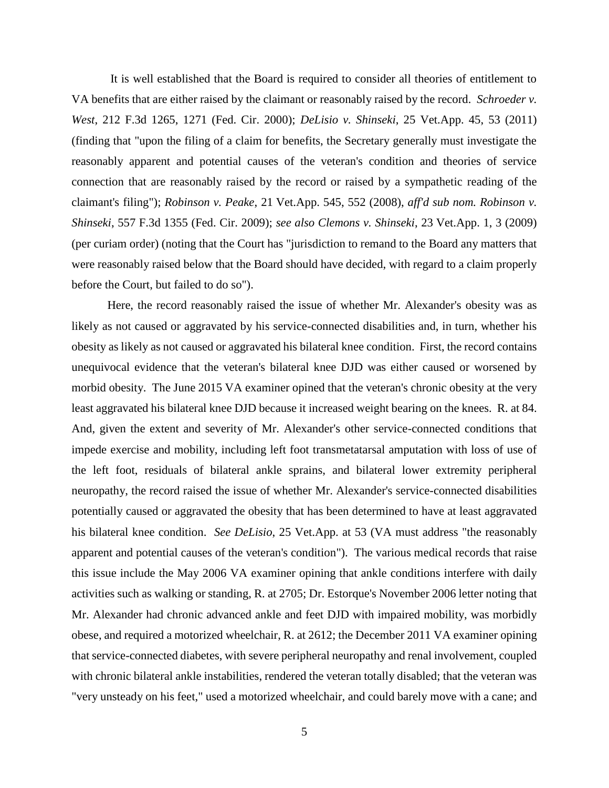It is well established that the Board is required to consider all theories of entitlement to VA benefits that are either raised by the claimant or reasonably raised by the record. *Schroeder v. West*, 212 F.3d 1265, 1271 (Fed. Cir. 2000); *DeLisio v. Shinseki*, 25 Vet.App. 45, 53 (2011) (finding that "upon the filing of a claim for benefits, the Secretary generally must investigate the reasonably apparent and potential causes of the veteran's condition and theories of service connection that are reasonably raised by the record or raised by a sympathetic reading of the claimant's filing"); *Robinson v. Peake*, 21 Vet.App. 545, 552 (2008), *aff'd sub nom. Robinson v. Shinseki*, 557 F.3d 1355 (Fed. Cir. 2009); *see also Clemons v. Shinseki*, 23 Vet.App. 1, 3 (2009) (per curiam order) (noting that the Court has "jurisdiction to remand to the Board any matters that were reasonably raised below that the Board should have decided, with regard to a claim properly before the Court, but failed to do so").

Here, the record reasonably raised the issue of whether Mr. Alexander's obesity was as likely as not caused or aggravated by his service-connected disabilities and, in turn, whether his obesity as likely as not caused or aggravated his bilateral knee condition. First, the record contains unequivocal evidence that the veteran's bilateral knee DJD was either caused or worsened by morbid obesity. The June 2015 VA examiner opined that the veteran's chronic obesity at the very least aggravated his bilateral knee DJD because it increased weight bearing on the knees. R. at 84. And, given the extent and severity of Mr. Alexander's other service-connected conditions that impede exercise and mobility, including left foot transmetatarsal amputation with loss of use of the left foot, residuals of bilateral ankle sprains, and bilateral lower extremity peripheral neuropathy, the record raised the issue of whether Mr. Alexander's service-connected disabilities potentially caused or aggravated the obesity that has been determined to have at least aggravated his bilateral knee condition. *See DeLisio*, 25 Vet.App. at 53 (VA must address "the reasonably apparent and potential causes of the veteran's condition"). The various medical records that raise this issue include the May 2006 VA examiner opining that ankle conditions interfere with daily activities such as walking or standing, R. at 2705; Dr. Estorque's November 2006 letter noting that Mr. Alexander had chronic advanced ankle and feet DJD with impaired mobility, was morbidly obese, and required a motorized wheelchair, R. at 2612; the December 2011 VA examiner opining that service-connected diabetes, with severe peripheral neuropathy and renal involvement, coupled with chronic bilateral ankle instabilities, rendered the veteran totally disabled; that the veteran was "very unsteady on his feet," used a motorized wheelchair, and could barely move with a cane; and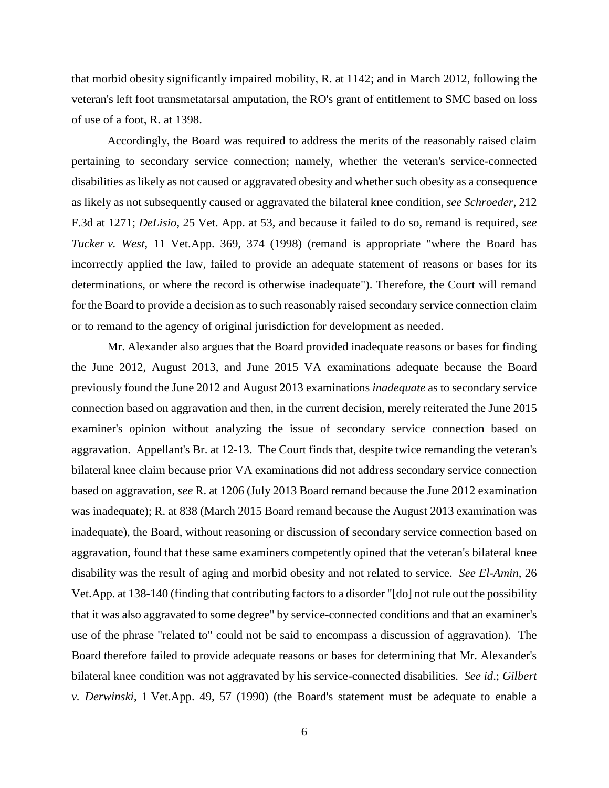that morbid obesity significantly impaired mobility, R. at 1142; and in March 2012, following the veteran's left foot transmetatarsal amputation, the RO's grant of entitlement to SMC based on loss of use of a foot, R. at 1398.

Accordingly, the Board was required to address the merits of the reasonably raised claim pertaining to secondary service connection; namely, whether the veteran's service-connected disabilities as likely as not caused or aggravated obesity and whether such obesity as a consequence as likely as not subsequently caused or aggravated the bilateral knee condition, *see Schroeder*, 212 F.3d at 1271; *DeLisio*, 25 Vet. App. at 53, and because it failed to do so, remand is required, *see Tucker v. West*, 11 Vet.App. 369, 374 (1998) (remand is appropriate "where the Board has incorrectly applied the law, failed to provide an adequate statement of reasons or bases for its determinations, or where the record is otherwise inadequate"). Therefore, the Court will remand for the Board to provide a decision as to such reasonably raised secondary service connection claim or to remand to the agency of original jurisdiction for development as needed.

Mr. Alexander also argues that the Board provided inadequate reasons or bases for finding the June 2012, August 2013, and June 2015 VA examinations adequate because the Board previously found the June 2012 and August 2013 examinations *inadequate* as to secondary service connection based on aggravation and then, in the current decision, merely reiterated the June 2015 examiner's opinion without analyzing the issue of secondary service connection based on aggravation. Appellant's Br. at 12-13. The Court finds that, despite twice remanding the veteran's bilateral knee claim because prior VA examinations did not address secondary service connection based on aggravation, *see* R. at 1206 (July 2013 Board remand because the June 2012 examination was inadequate); R. at 838 (March 2015 Board remand because the August 2013 examination was inadequate), the Board, without reasoning or discussion of secondary service connection based on aggravation, found that these same examiners competently opined that the veteran's bilateral knee disability was the result of aging and morbid obesity and not related to service. *See El-Amin*, 26 Vet.App. at 138-140 (finding that contributing factors to a disorder "[do] not rule out the possibility that it was also aggravated to some degree" by service-connected conditions and that an examiner's use of the phrase "related to" could not be said to encompass a discussion of aggravation). The Board therefore failed to provide adequate reasons or bases for determining that Mr. Alexander's bilateral knee condition was not aggravated by his service-connected disabilities. *See id*.; *Gilbert v. Derwinski*, 1 Vet.App. 49, 57 (1990) (the Board's statement must be adequate to enable a